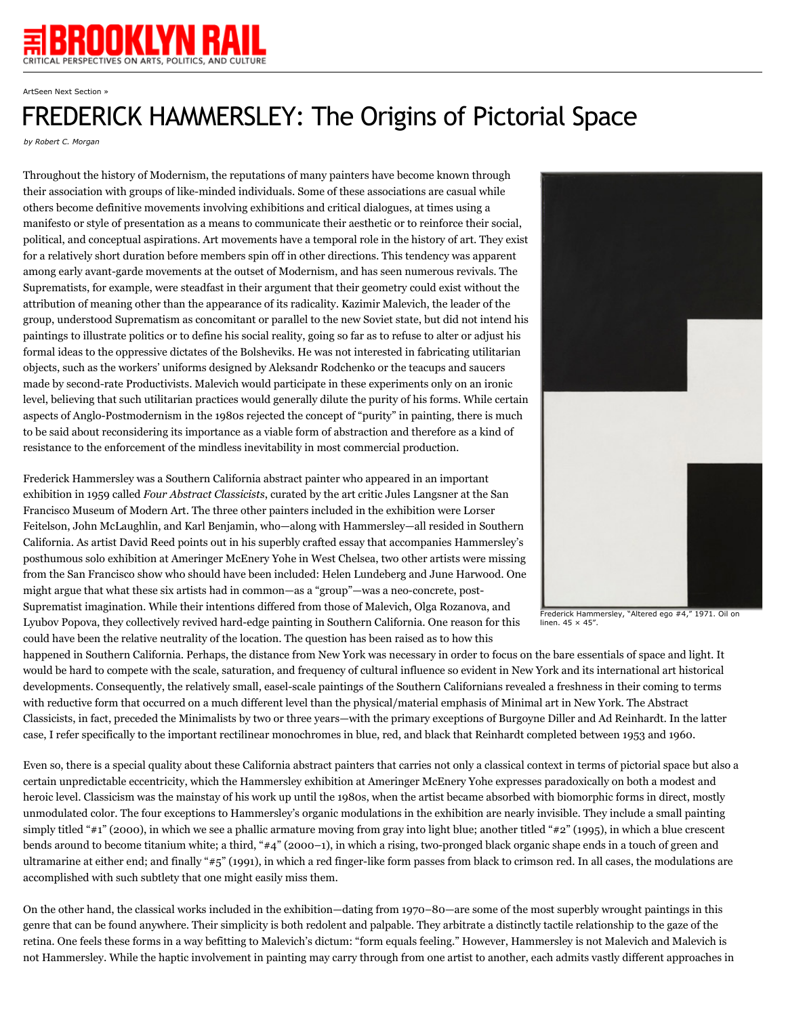

ArtSeen Next Section »

## FREDERICK HAMMERSLEY: The Origins of Pictorial Space

*by Robert C. Morgan*

Throughout the history of Modernism, the reputations of many painters have become known through their association with groups of like-minded individuals. Some of these associations are casual while others become definitive movements involving exhibitions and critical dialogues, at times using a manifesto or style of presentation as a means to communicate their aesthetic or to reinforce their social, political, and conceptual aspirations. Art movements have a temporal role in the history of art. They exist for a relatively short duration before members spin off in other directions. This tendency was apparent among early avant-garde movements at the outset of Modernism, and has seen numerous revivals. The Suprematists, for example, were steadfast in their argument that their geometry could exist without the attribution of meaning other than the appearance of its radicality. Kazimir Malevich, the leader of the group, understood Suprematism as concomitant or parallel to the new Soviet state, but did not intend his paintings to illustrate politics or to define his social reality, going so far as to refuse to alter or adjust his formal ideas to the oppressive dictates of the Bolsheviks. He was not interested in fabricating utilitarian objects, such as the workers' uniforms designed by Aleksandr Rodchenko or the teacups and saucers made by second-rate Productivists. Malevich would participate in these experiments only on an ironic level, believing that such utilitarian practices would generally dilute the purity of his forms. While certain aspects of Anglo-Postmodernism in the 1980s rejected the concept of "purity" in painting, there is much to be said about reconsidering its importance as a viable form of abstraction and therefore as a kind of resistance to the enforcement of the mindless inevitability in most commercial production.

Frederick Hammersley was a Southern California abstract painter who appeared in an important exhibition in 1959 called *Four Abstract Classicists*, curated by the art critic Jules Langsner at the San Francisco Museum of Modern Art. The three other painters included in the exhibition were Lorser Feitelson, John McLaughlin, and Karl Benjamin, who—along with Hammersley—all resided in Southern California. As artist David Reed points out in his superbly crafted essay that accompanies Hammersley's posthumous solo exhibition at Ameringer McEnery Yohe in West Chelsea, two other artists were missing from the San Francisco show who should have been included: Helen Lundeberg and June Harwood. One might argue that what these six artists had in common—as a "group"—was a neo-concrete, post-Suprematist imagination. While their intentions differed from those of Malevich, Olga Rozanova, and Lyubov Popova, they collectively revived hard-edge painting in Southern California. One reason for this could have been the relative neutrality of the location. The question has been raised as to how this



Frederick Hammersley, "Altered ego #4," 1971. Oil on linen. 45 × 45"

happened in Southern California. Perhaps, the distance from New York was necessary in order to focus on the bare essentials of space and light. It would be hard to compete with the scale, saturation, and frequency of cultural influence so evident in New York and its international art historical developments. Consequently, the relatively small, easel-scale paintings of the Southern Californians revealed a freshness in their coming to terms with reductive form that occurred on a much different level than the physical/material emphasis of Minimal art in New York. The Abstract Classicists, in fact, preceded the Minimalists by two or three years—with the primary exceptions of Burgoyne Diller and Ad Reinhardt. In the latter case, I refer specifically to the important rectilinear monochromes in blue, red, and black that Reinhardt completed between 1953 and 1960.

Even so, there is a special quality about these California abstract painters that carries not only a classical context in terms of pictorial space but also a certain unpredictable eccentricity, which the Hammersley exhibition at Ameringer McEnery Yohe expresses paradoxically on both a modest and heroic level. Classicism was the mainstay of his work up until the 1980s, when the artist became absorbed with biomorphic forms in direct, mostly unmodulated color. The four exceptions to Hammersley's organic modulations in the exhibition are nearly invisible. They include a small painting simply titled "#1" (2000), in which we see a phallic armature moving from gray into light blue; another titled "#2" (1995), in which a blue crescent bends around to become titanium white; a third, "#4" (2000–1), in which a rising, two-pronged black organic shape ends in a touch of green and ultramarine at either end; and finally "#5" (1991), in which a red finger-like form passes from black to crimson red. In all cases, the modulations are accomplished with such subtlety that one might easily miss them.

On the other hand, the classical works included in the exhibition—dating from 1970–80—are some of the most superbly wrought paintings in this genre that can be found anywhere. Their simplicity is both redolent and palpable. They arbitrate a distinctly tactile relationship to the gaze of the retina. One feels these forms in a way befitting to Malevich's dictum: "form equals feeling." However, Hammersley is not Malevich and Malevich is not Hammersley. While the haptic involvement in painting may carry through from one artist to another, each admits vastly different approaches in